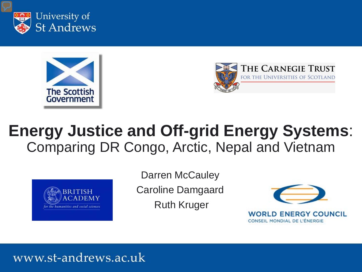





## **Energy Justice and Off-grid Energy Systems**: Comparing DR Congo, Arctic, Nepal and Vietnam



Darren McCauley Caroline Damgaard Ruth Kruger



**WORLD ENERGY COUNCIL** CONSEIL MONDIAL DE L'ÉNERGIE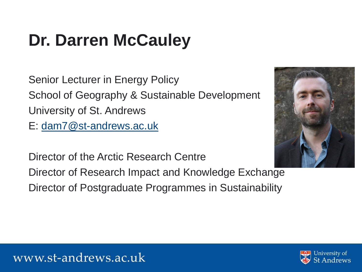# **Dr. Darren McCauley**

Senior Lecturer in Energy Policy School of Geography & Sustainable Development University of St. Andrews

E: [dam7@st-andrews.ac.uk](mailto:dam7@st-andrews.ac.uk)

Director of the Arctic Research Centre Director of Research Impact and Knowledge Exchange Director of Postgraduate Programmes in Sustainability





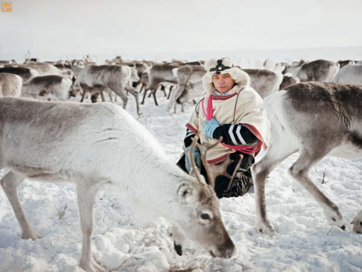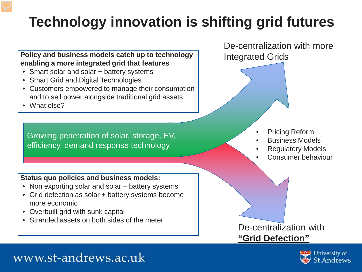# **Technology innovation is shifting grid futures**

#### **Policy and business models catch up to technology enabling a more integrated grid that features**

- Smart solar and solar + battery systems
- Smart Grid and Digital Technologies
- Customers empowered to manage their consumption and to sell power alongside traditional grid assets.
- What else?

#### Growing penetration of solar, storage, EV, efficiency, demand response technology

#### **Status quo policies and business models:**

- Non exporting solar and solar + battery systems
- Grid defection as solar + battery systems become more economic
- Overbuilt grid with sunk capital
- Stranded assets on both sides of the meter

De-centralization with more Integrated Grids

- Pricing Reform
- Business Models
- Regulatory Models
- Consumer behaviour

De-centralization with **"Grid Defection"**

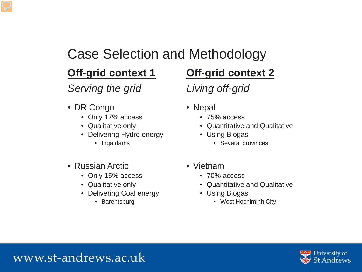### Case Selection and Methodology

#### **Off-grid context 1**

*Serving the grid*

- DR Congo
	- Only 17% access
	- Qualitative only
	- Delivering Hydro energy
		- Inga dams
- Russian Arctic
	- Only 15% access
	- Qualitative only
	- Delivering Coal energy
		- Barentsburg

### **Off-grid context 2**

*Living off-grid*

- Nepal
	- 75% access
	- Quantitative and Qualitative
	- Using Biogas
		- Several provinces
- Vietnam
	- 70% access
	- Quantitative and Qualitative
	- Using Biogas
		- West Hochiminh City

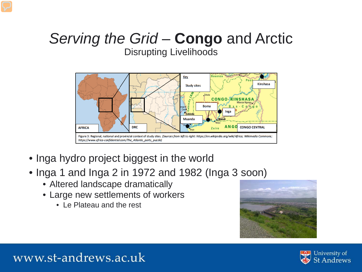### *Serving the Grid* – **Congo** and Arctic Disrupting Livelihoods



- Inga hydro project biggest in the world
- Inga 1 and Inga 2 in 1972 and 1982 (Inga 3 soon)
	- Altered landscape dramatically
	- Large new settlements of workers
		- Le Plateau and the rest



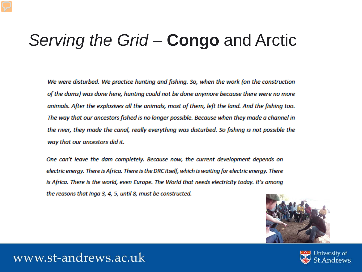# *Serving the Grid* – **Congo** and Arctic

We were disturbed. We practice hunting and fishing. So, when the work (on the construction of the dams) was done here, hunting could not be done anymore because there were no more animals. After the explosives all the animals, most of them, left the land. And the fishing too. The way that our ancestors fished is no longer possible. Because when they made a channel in the river, they made the canal, really everything was disturbed. So fishing is not possible the way that our ancestors did it.

One can't leave the dam completely. Because now, the current development depends on electric energy. There is Africa. There is the DRC itself, which is waiting for electric energy. There is Africa. There is the world, even Europe. The World that needs electricity today. It's among the reasons that Inga 3, 4, 5, until 8, must be constructed.



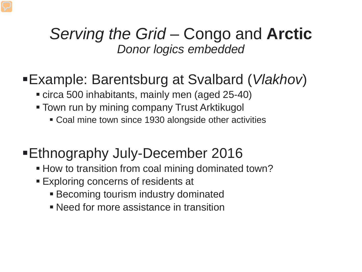### *Serving the Grid* – Congo and **Arctic** *Donor logics embedded*

### Example: Barentsburg at Svalbard (*Vlakhov*)

- circa 500 inhabitants, mainly men (aged 25-40)
- **Town run by mining company Trust Arktikugol** 
	- Coal mine town since 1930 alongside other activities

## Ethnography July-December 2016

- **How to transition from coal mining dominated town?**
- **Exploring concerns of residents at** 
	- **Becoming tourism industry dominated**
	- Need for more assistance in transition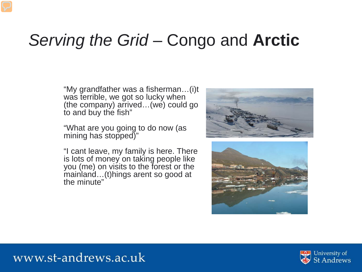# *Serving the Grid* – Congo and **Arctic**

"My grandfather was a fisherman…(i)t was terrible, we got so lucky when (the company) arrived…(we) could go to and buy the fish"

"What are you going to do now (as mining has stopped)"

"I cant leave, my family is here. There is lots of money on taking people like you (me) on visits to the forest or the mainland…(t)hings arent so good at the minute"





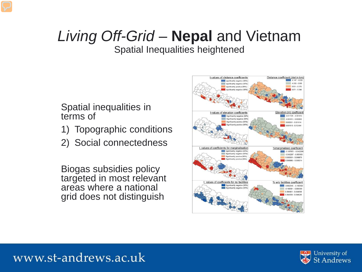### *Living Off-Grid* – **Nepal** and Vietnam Spatial Inequalities heightened

Spatial inequalities in terms of

- 1) Topographic conditions
- 2) Social connectedness

Biogas subsidies policy targeted in most relevant areas where a national grid does not distinguish



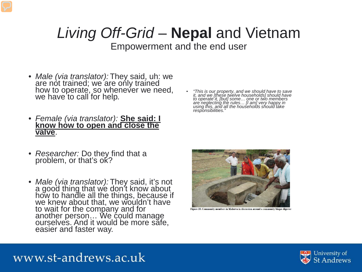### *Living Off-Grid* – **Nepal** and Vietnam Empowerment and the end user

- *Male (via translator):* They said, uh: we are not trained; we are only trained how to operate, so whenever we need, we have to call for help*.*
- *Female (via translator):* **She said: I know how to open and close the valve**.
- *Researcher:* Do they find that a problem, or that's ok?
- *Male (via translator):* They said, it's not a good thing that we don't know about how to handle all the things, because if we knew about that, we wouldn't have to wait for the company and for another person... We could manage ourselves. And it would be more safe, easier and faster way.



• "This is our property, and we should have to save<br>it, and we [these twelve households] should have<br>to operate it, [but] some... one or two members<br>are neglecting the rules... [I am] very happy in<br>using this, and all the

Figure 10: Community members in Mahuwa in discussion around a community biogas digeste

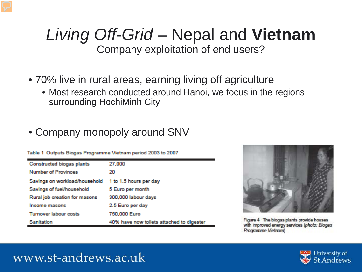### *Living Off-Grid* – Nepal and **Vietnam** Company exploitation of end users?

- 70% live in rural areas, earning living off agriculture
	- Most research conducted around Hanoi, we focus in the regions surrounding HochiMinh City

#### • Company monopoly around SNV

|  |  |  | Table 1 Outputs Biogas Programme Vietnam period 2003 to 2007 |  |  |  |  |  |
|--|--|--|--------------------------------------------------------------|--|--|--|--|--|
|--|--|--|--------------------------------------------------------------|--|--|--|--|--|

| Constructed biogas plants     | 27,000                                    |  |  |  |  |
|-------------------------------|-------------------------------------------|--|--|--|--|
| <b>Number of Provinces</b>    | 20                                        |  |  |  |  |
| Savings on workload/household | 1 to 1.5 hours per day                    |  |  |  |  |
| Savings of fuel/household     | 5 Euro per month                          |  |  |  |  |
| Rural job creation for masons | 300,000 labour days                       |  |  |  |  |
| Income masons                 | 2.5 Euro per day                          |  |  |  |  |
| <b>Turnover labour costs</b>  | 750,000 Euro                              |  |  |  |  |
| Sanitation                    | 40% have now toilets attached to digester |  |  |  |  |



Figure 4 The biogas plants provide houses with improved energy services (photo: Biogas Programme Vietnam)

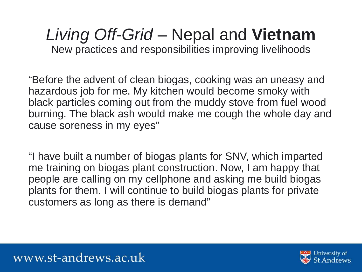### *Living Off-Grid* – Nepal and **Vietnam** New practices and responsibilities improving livelihoods

"Before the advent of clean biogas, cooking was an uneasy and hazardous job for me. My kitchen would become smoky with black particles coming out from the muddy stove from fuel wood burning. The black ash would make me cough the whole day and cause soreness in my eyes"

"I have built a number of biogas plants for SNV, which imparted me training on biogas plant construction. Now, I am happy that people are calling on my cellphone and asking me build biogas plants for them. I will continue to build biogas plants for private customers as long as there is demand"

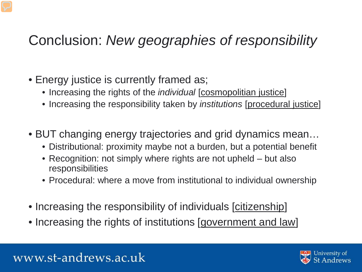## Conclusion: *New geographies of responsibility*

- Energy justice is currently framed as;
	- Increasing the rights of the *individual* [cosmopolitian justice]
	- Increasing the responsibility taken by *institutions* [procedural justice]
- BUT changing energy trajectories and grid dynamics mean…
	- Distributional: proximity maybe not a burden, but a potential benefit
	- Recognition: not simply where rights are not upheld but also responsibilities
	- Procedural: where a move from institutional to individual ownership
- Increasing the responsibility of individuals [citizenship]
- Increasing the rights of institutions [government and law]